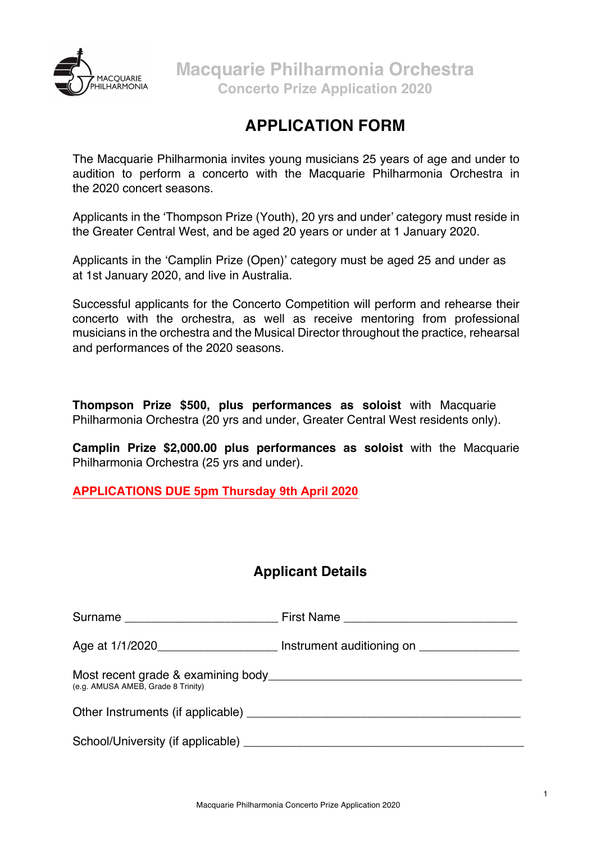

# **APPLICATION FORM**

The Macquarie Philharmonia invites young musicians 25 years of age and under to audition to perform a concerto with the Macquarie Philharmonia Orchestra in the 2020 concert seasons.

Applicants in the 'Thompson Prize (Youth), 20 yrs and under' category must reside in the Greater Central West, and be aged 20 years or under at 1 January 2020.

Applicants in the 'Camplin Prize (Open)' category must be aged 25 and under as at 1st January 2020, and live in Australia.

Successful applicants for the Concerto Competition will perform and rehearse their concerto with the orchestra, as well as receive mentoring from professional musicians in the orchestra and the Musical Director throughout the practice, rehearsal and performances of the 2020 seasons.

**Thompson Prize \$500, plus performances as soloist** with Macquarie Philharmonia Orchestra (20 yrs and under, Greater Central West residents only).

**Camplin Prize \$2,000.00 plus performances as soloist** with the Macquarie Philharmonia Orchestra (25 yrs and under).

**APPLICATIONS DUE 5pm Thursday 9th April 2020**

## **Applicant Details**

|                                    | Age at 1/1/2020_________________________ Instrument auditioning on ______________ |
|------------------------------------|-----------------------------------------------------------------------------------|
| (e.g. AMUSA AMEB, Grade 8 Trinity) |                                                                                   |
|                                    |                                                                                   |
|                                    |                                                                                   |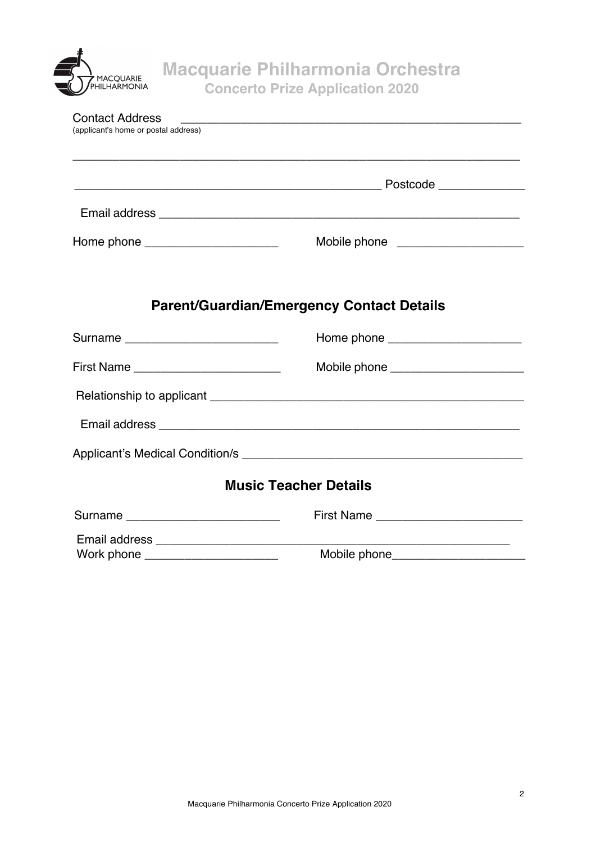

| <b>Contact Address</b><br>(applicant's home or postal address) | <u> 1989 - Johann John Stone, meny ambany amin'ny fivondronan-kaominin'i Carl (1989) ao amin'ny fivondronan-kaomin</u> |
|----------------------------------------------------------------|------------------------------------------------------------------------------------------------------------------------|
|                                                                |                                                                                                                        |
|                                                                |                                                                                                                        |
| Home phone ________________________                            | Mobile phone ____________________                                                                                      |
|                                                                |                                                                                                                        |
|                                                                | <b>Parent/Guardian/Emergency Contact Details</b>                                                                       |
| Surname __________________________                             | Home phone _______________________                                                                                     |
|                                                                | Mobile phone ________________________                                                                                  |
|                                                                |                                                                                                                        |
|                                                                |                                                                                                                        |
|                                                                |                                                                                                                        |
|                                                                | <b>Music Teacher Details</b>                                                                                           |
| Surname _____________________________                          |                                                                                                                        |
|                                                                | <u> 1990 - Johann John Stone, mars et al. (</u>                                                                        |
| Work phone ______________________                              |                                                                                                                        |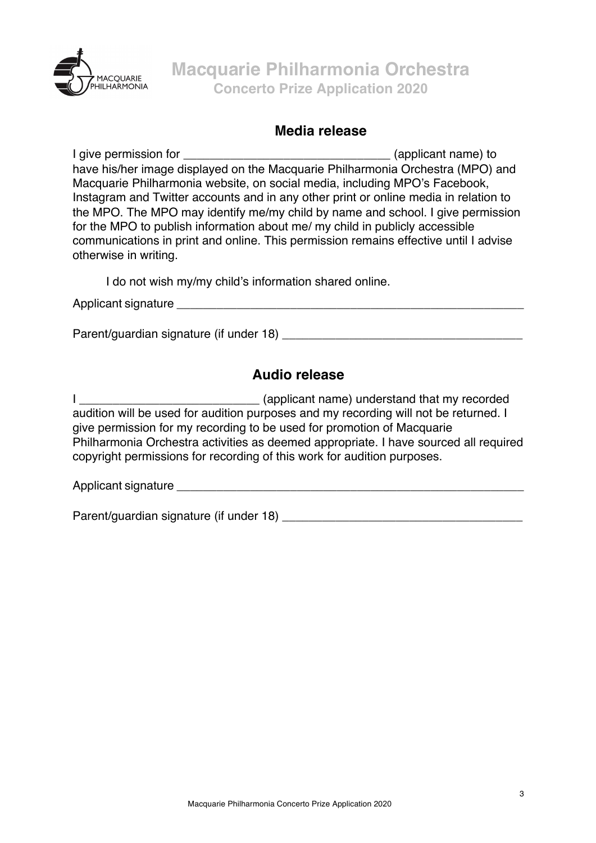

#### **Media release**

I give permission for \_\_\_\_\_\_\_\_\_\_\_\_\_\_\_\_\_\_\_\_\_\_\_\_\_\_\_\_\_\_\_ (applicant name) to have his/her image displayed on the Macquarie Philharmonia Orchestra (MPO) and Macquarie Philharmonia website, on social media, including MPO's Facebook, Instagram and Twitter accounts and in any other print or online media in relation to the MPO. The MPO may identify me/my child by name and school. I give permission for the MPO to publish information about me/ my child in publicly accessible communications in print and online. This permission remains effective until I advise otherwise in writing.

I do not wish my/my child's information shared online.

Applicant signature **Executive Server Server Server Server Server Server Server Server Server Server Server Server Server Server Server Server Server Server Server Server Server Server Server Server Server Server Server Se** 

Parent/quardian signature (if under 18)

## **Audio release**

I \_\_\_\_\_\_\_\_\_\_\_\_\_\_\_\_\_\_\_\_\_\_\_\_\_\_\_ (applicant name) understand that my recorded audition will be used for audition purposes and my recording will not be returned. I give permission for my recording to be used for promotion of Macquarie Philharmonia Orchestra activities as deemed appropriate. I have sourced all required copyright permissions for recording of this work for audition purposes.

Applicant signature **Example 20** 

Parent/guardian signature (if under 18) \_\_\_\_\_\_\_\_\_\_\_\_\_\_\_\_\_\_\_\_\_\_\_\_\_\_\_\_\_\_\_\_\_\_\_\_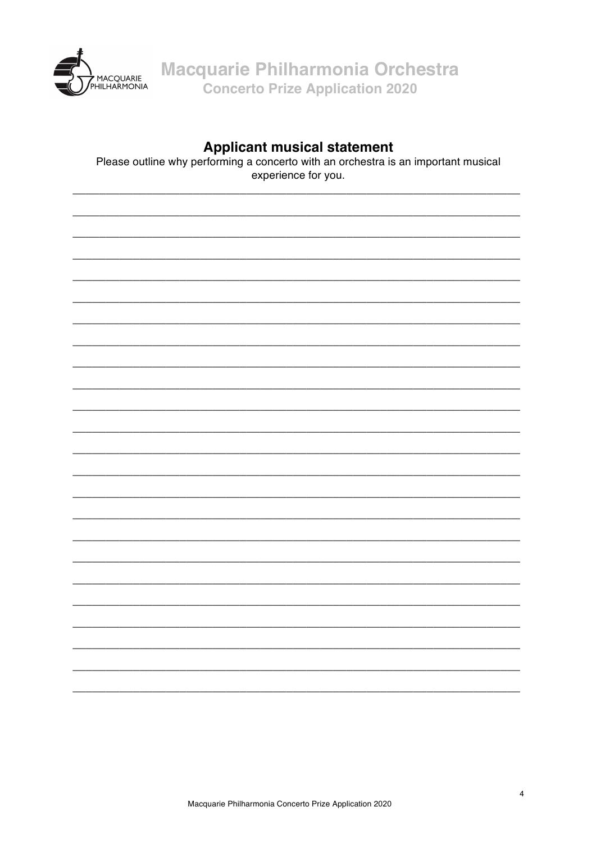

Macquarie Philharmonia Orchestra Concerto Prize Application 2020

### **Applicant musical statement**

Please outline why performing a concerto with an orchestra is an important musical experience for you.

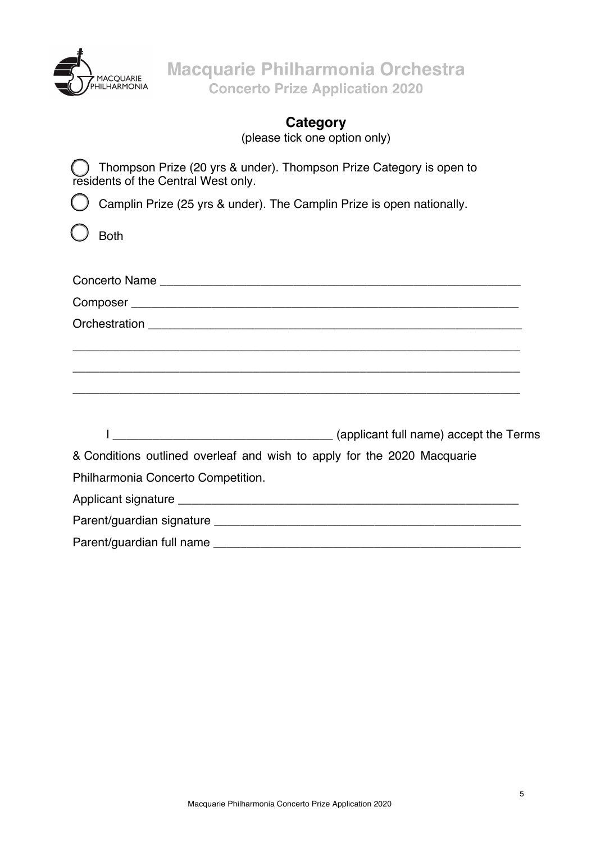

**Macquarie Philharmonia Orchestra Concerto Prize Application 2020**

# **Category**

(please tick one option only)

Thompson Prize (20 yrs & under). Thompson Prize Category is open to residents of the Central West only.

Camplin Prize (25 yrs & under). The Camplin Prize is open nationally.

Both

| ,我们也不能在这里的时候,我们也不能在这里的时候,我们也不能在这里的时候,我们也不能会不能会不能会不能会不能会不能会不能会。""我们的人,我们也不能会不能会不能 |
|----------------------------------------------------------------------------------|
| ,我们也不能在这里的时候,我们也不能在这里的时候,我们也不能在这里的时候,我们也不能会在这里的时候,我们也不能会在这里的时候,我们也不能会在这里的时候,我们也不 |
|                                                                                  |
| (applicant full name) accept the Terms                                           |
| & Conditions outlined overleaf and wish to apply for the 2020 Macquarie          |
| Philharmonia Concerto Competition.                                               |
|                                                                                  |
|                                                                                  |
|                                                                                  |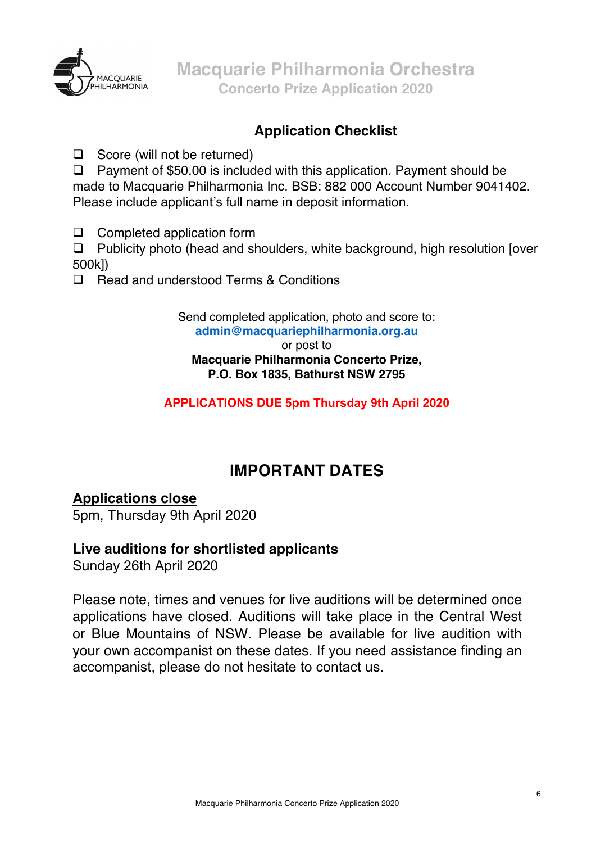

# **Application Checklist**

 $\Box$  Score (will not be returned)

 $\Box$  Payment of \$50.00 is included with this application. Payment should be made to Macquarie Philharmonia Inc. BSB: 882 000 Account Number 9041402. Please include applicant's full name in deposit information.

 $\Box$  Completed application form

 $\Box$  Publicity photo (head and shoulders, white background, high resolution [over] 500k])

**□** Read and understood Terms & Conditions

Send completed application, photo and score to: **admin@macquariephilharmonia.org.au**

or post to **Macquarie Philharmonia Concerto Prize, P.O. Box 1835, Bathurst NSW 2795** 

**APPLICATIONS DUE 5pm Thursday 9th April 2020**

# **IMPORTANT DATES**

## **Applications close**

5pm, Thursday 9th April 2020

## **Live auditions for shortlisted applicants**

Sunday 26th April 2020

Please note, times and venues for live auditions will be determined once applications have closed. Auditions will take place in the Central West or Blue Mountains of NSW. Please be available for live audition with your own accompanist on these dates. If you need assistance finding an accompanist, please do not hesitate to contact us.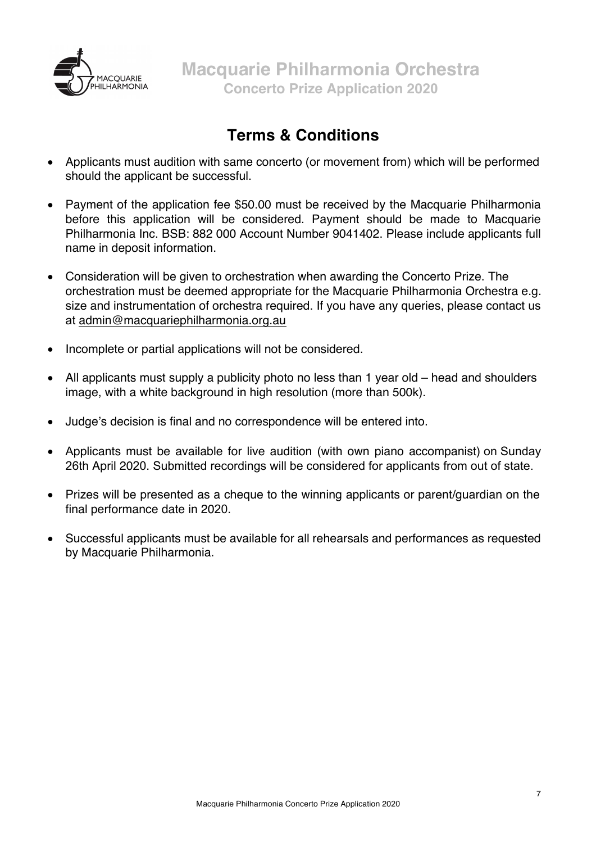

# **Terms & Conditions**

- Applicants must audition with same concerto (or movement from) which will be performed should the applicant be successful.
- Payment of the application fee \$50.00 must be received by the Macquarie Philharmonia before this application will be considered. Payment should be made to Macquarie Philharmonia Inc. BSB: 882 000 Account Number 9041402. Please include applicants full name in deposit information.
- Consideration will be given to orchestration when awarding the Concerto Prize. The orchestration must be deemed appropriate for the Macquarie Philharmonia Orchestra e.g. size and instrumentation of orchestra required. If you have any queries, please contact us at admin@macquariephilharmonia.org.au
- Incomplete or partial applications will not be considered.
- All applicants must supply a publicity photo no less than 1 year old head and shoulders image, with a white background in high resolution (more than 500k).
- Judge's decision is final and no correspondence will be entered into.
- Applicants must be available for live audition (with own piano accompanist) on Sunday 26th April 2020. Submitted recordings will be considered for applicants from out of state.
- Prizes will be presented as a cheque to the winning applicants or parent/guardian on the final performance date in 2020.
- Successful applicants must be available for all rehearsals and performances as requested by Macquarie Philharmonia.